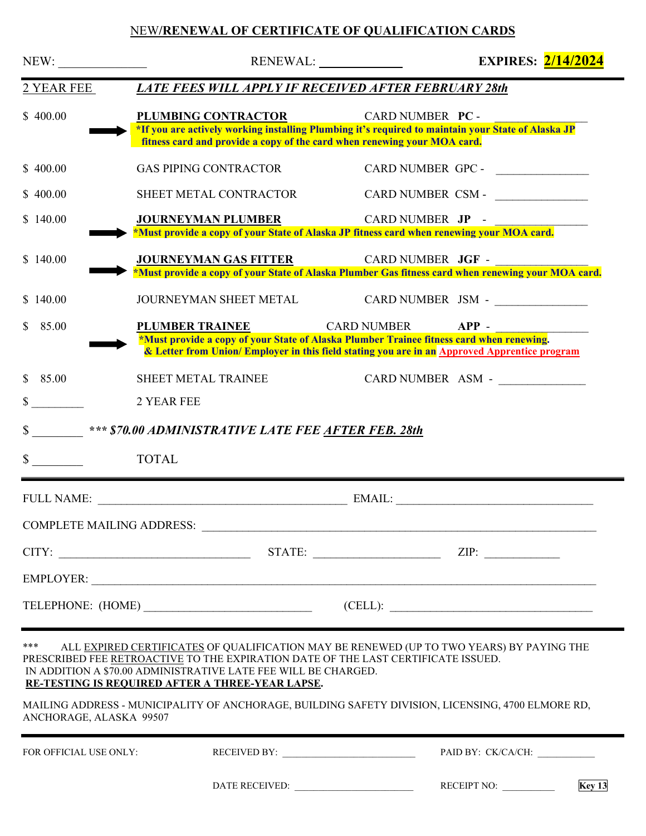## NEW**/RENEWAL OF CERTIFICATE OF QUALIFICATION CARDS**

| NEW:                                              |                                                                                                                                                                                                                                                                                                                                                                                                          | RENEWAL:                                                                                                                                                                                           | <b>EXPIRES:</b> 2/14/2024                                                                                                                                                                                                                                                                                                                                                         |
|---------------------------------------------------|----------------------------------------------------------------------------------------------------------------------------------------------------------------------------------------------------------------------------------------------------------------------------------------------------------------------------------------------------------------------------------------------------------|----------------------------------------------------------------------------------------------------------------------------------------------------------------------------------------------------|-----------------------------------------------------------------------------------------------------------------------------------------------------------------------------------------------------------------------------------------------------------------------------------------------------------------------------------------------------------------------------------|
| 2 YEAR FEE                                        |                                                                                                                                                                                                                                                                                                                                                                                                          | <b>LATE FEES WILL APPLY IF RECEIVED AFTER FEBRUARY 28th</b>                                                                                                                                        |                                                                                                                                                                                                                                                                                                                                                                                   |
| \$400.00                                          | PLUMBING CONTRACTOR                                                                                                                                                                                                                                                                                                                                                                                      | CARD NUMBER PC -<br>*If you are actively working installing Plumbing it's required to maintain your State of Alaska JP<br>fitness card and provide a copy of the card when renewing your MOA card. |                                                                                                                                                                                                                                                                                                                                                                                   |
| \$400.00                                          | <b>GAS PIPING CONTRACTOR</b>                                                                                                                                                                                                                                                                                                                                                                             |                                                                                                                                                                                                    |                                                                                                                                                                                                                                                                                                                                                                                   |
| \$400.00                                          | SHEET METAL CONTRACTOR                                                                                                                                                                                                                                                                                                                                                                                   |                                                                                                                                                                                                    | CARD NUMBER CSM - ________________                                                                                                                                                                                                                                                                                                                                                |
| \$140.00                                          | <b>JOURNEYMAN PLUMBER</b>                                                                                                                                                                                                                                                                                                                                                                                | CARD NUMBER JP -<br>*Must provide a copy of your State of Alaska JP fitness card when renewing your MOA card.                                                                                      |                                                                                                                                                                                                                                                                                                                                                                                   |
| \$140.00                                          | <b>JOURNEYMAN GAS FITTER</b>                                                                                                                                                                                                                                                                                                                                                                             | CARD NUMBER JGF -<br>*Must provide a copy of your State of Alaska Plumber Gas fitness card when renewing your MOA card.                                                                            |                                                                                                                                                                                                                                                                                                                                                                                   |
| \$140.00                                          | JOURNEYMAN SHEET METAL                                                                                                                                                                                                                                                                                                                                                                                   |                                                                                                                                                                                                    | CARD NUMBER JSM - ________________                                                                                                                                                                                                                                                                                                                                                |
| 85.00<br>S.                                       | <b>PLUMBER TRAINEE</b>                                                                                                                                                                                                                                                                                                                                                                                   | <b>CARD NUMBER</b><br>*Must provide a copy of your State of Alaska Plumber Trainee fitness card when renewing.                                                                                     | $APP -$                                                                                                                                                                                                                                                                                                                                                                           |
| 85.00<br>$\mathbb{S}$<br>$\mathbb{S}^-$<br>$\sim$ | SHEET METAL TRAINEE<br>2 YEAR FEE<br>\$ *** \$70.00 ADMINISTRATIVE LATE FEE AFTER FEB. 28th<br><b>TOTAL</b>                                                                                                                                                                                                                                                                                              | & Letter from Union/Employer in this field stating you are in an Approved Apprentice program                                                                                                       | CARD NUMBER ASM -                                                                                                                                                                                                                                                                                                                                                                 |
|                                                   |                                                                                                                                                                                                                                                                                                                                                                                                          |                                                                                                                                                                                                    |                                                                                                                                                                                                                                                                                                                                                                                   |
|                                                   |                                                                                                                                                                                                                                                                                                                                                                                                          |                                                                                                                                                                                                    |                                                                                                                                                                                                                                                                                                                                                                                   |
|                                                   |                                                                                                                                                                                                                                                                                                                                                                                                          |                                                                                                                                                                                                    |                                                                                                                                                                                                                                                                                                                                                                                   |
|                                                   |                                                                                                                                                                                                                                                                                                                                                                                                          |                                                                                                                                                                                                    |                                                                                                                                                                                                                                                                                                                                                                                   |
|                                                   |                                                                                                                                                                                                                                                                                                                                                                                                          |                                                                                                                                                                                                    | $\begin{picture}(150,10) \put(0,0){\dashbox{0.5}(10,0){ }} \put(150,0){\circle{10}} \put(150,0){\circle{10}} \put(150,0){\circle{10}} \put(150,0){\circle{10}} \put(150,0){\circle{10}} \put(150,0){\circle{10}} \put(150,0){\circle{10}} \put(150,0){\circle{10}} \put(150,0){\circle{10}} \put(150,0){\circle{10}} \put(150,0){\circle{10}} \put(150,0){\circle{10}} \put(150,$ |
| ***<br>ANCHORAGE, ALASKA 99507                    | ALL EXPIRED CERTIFICATES OF QUALIFICATION MAY BE RENEWED (UP TO TWO YEARS) BY PAYING THE<br>PRESCRIBED FEE RETROACTIVE TO THE EXPIRATION DATE OF THE LAST CERTIFICATE ISSUED.<br>IN ADDITION A \$70.00 ADMINISTRATIVE LATE FEE WILL BE CHARGED.<br>RE-TESTING IS REQUIRED AFTER A THREE-YEAR LAPSE.<br>MAILING ADDRESS - MUNICIPALITY OF ANCHORAGE, BUILDING SAFETY DIVISION, LICENSING, 4700 ELMORE RD, |                                                                                                                                                                                                    |                                                                                                                                                                                                                                                                                                                                                                                   |
| FOR OFFICIAL USE ONLY:                            |                                                                                                                                                                                                                                                                                                                                                                                                          |                                                                                                                                                                                                    | PAID BY: CK/CA/CH:                                                                                                                                                                                                                                                                                                                                                                |
|                                                   |                                                                                                                                                                                                                                                                                                                                                                                                          |                                                                                                                                                                                                    | RECEIPT NO:<br>Key <sub>13</sub>                                                                                                                                                                                                                                                                                                                                                  |